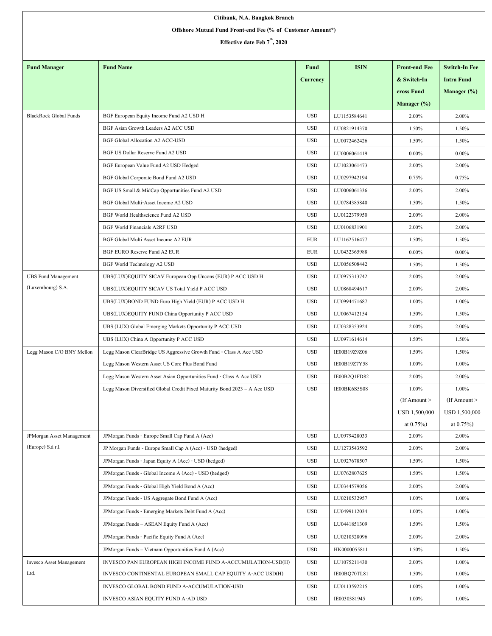| Citibank, N.A. Bangkok Branch                              |                                                                           |            |              |                      |                      |  |  |  |  |  |
|------------------------------------------------------------|---------------------------------------------------------------------------|------------|--------------|----------------------|----------------------|--|--|--|--|--|
| Offshore Mutual Fund Front-end Fee (% of Customer Amount*) |                                                                           |            |              |                      |                      |  |  |  |  |  |
| Effective date Feb $7th$ , 2020                            |                                                                           |            |              |                      |                      |  |  |  |  |  |
|                                                            |                                                                           |            |              |                      |                      |  |  |  |  |  |
| <b>Fund Manager</b>                                        | <b>Fund Name</b>                                                          | Fund       | <b>ISIN</b>  | <b>Front-end Fee</b> | <b>Switch-In Fee</b> |  |  |  |  |  |
|                                                            |                                                                           | Currency   |              | & Switch-In          | <b>Intra Fund</b>    |  |  |  |  |  |
|                                                            |                                                                           |            |              | cross Fund           | Manager $(\%)$       |  |  |  |  |  |
|                                                            |                                                                           |            |              | Manager (%)          |                      |  |  |  |  |  |
| <b>BlackRock Global Funds</b>                              | BGF European Equity Income Fund A2 USD H                                  | <b>USD</b> | LU1153584641 | 2.00%                | 2.00%                |  |  |  |  |  |
|                                                            | BGF Asian Growth Leaders A2 ACC USD                                       | <b>USD</b> | LU0821914370 | 1.50%                | 1.50%                |  |  |  |  |  |
|                                                            | <b>BGF Global Allocation A2 ACC-USD</b>                                   | <b>USD</b> | LU0072462426 | 1.50%                | 1.50%                |  |  |  |  |  |
|                                                            | BGF US Dollar Reserve Fund A2 USD                                         | <b>USD</b> | LU0006061419 | $0.00\%$             | $0.00\%$             |  |  |  |  |  |
|                                                            | BGF European Value Fund A2 USD Hedged                                     | <b>USD</b> | LU1023061473 | 2.00%                | 2.00%                |  |  |  |  |  |
|                                                            | BGF Global Corporate Bond Fund A2 USD                                     | <b>USD</b> | LU0297942194 | 0.75%                | 0.75%                |  |  |  |  |  |
|                                                            | BGF US Small & MidCap Opportunities Fund A2 USD                           | <b>USD</b> | LU0006061336 | 2.00%                | 2.00%                |  |  |  |  |  |
|                                                            | BGF Global Multi-Asset Income A2 USD                                      | <b>USD</b> | LU0784385840 | 1.50%                | 1.50%                |  |  |  |  |  |
|                                                            | BGF World Healthscience Fund A2 USD                                       | <b>USD</b> | LU0122379950 | 2.00%                | 2.00%                |  |  |  |  |  |
|                                                            | <b>BGF World Financials A2RF USD</b>                                      | <b>USD</b> | LU0106831901 | 2.00%                | 2.00%                |  |  |  |  |  |
|                                                            | BGF Global Multi Asset Income A2 EUR                                      | EUR        | LU1162516477 | 1.50%                | 1.50%                |  |  |  |  |  |
|                                                            | BGF EURO Reserve Fund A2 EUR                                              | <b>EUR</b> | LU0432365988 | $0.00\%$             | $0.00\%$             |  |  |  |  |  |
|                                                            | BGF World Technology A2 USD                                               | <b>USD</b> | LU0056508442 | 1.50%                | 1.50%                |  |  |  |  |  |
| <b>UBS Fund Management</b>                                 | UBS(LUX)EQUITY SICAV European Opp Uncons (EUR) P ACC USD H                | <b>USD</b> | LU0975313742 | 2.00%                | 2.00%                |  |  |  |  |  |
| (Luxembourg) S.A.                                          | UBS(LUX)EQUITY SICAV US Total Yield P ACC USD                             | <b>USD</b> | LU0868494617 | 2.00%                | 2.00%                |  |  |  |  |  |
|                                                            | UBS(LUX)BOND FUND Euro High Yield (EUR) P ACC USD H                       | <b>USD</b> | LU0994471687 | 1.00%                | 1.00%                |  |  |  |  |  |
|                                                            | UBS(LUX)EQUITY FUND China Opportunity P ACC USD                           | <b>USD</b> | LU0067412154 | 1.50%                | 1.50%                |  |  |  |  |  |
|                                                            | UBS (LUX) Global Emerging Markets Opportunity P ACC USD                   | <b>USD</b> | LU0328353924 | 2.00%                | 2.00%                |  |  |  |  |  |
|                                                            | UBS (LUX) China A Opportunity P ACC USD                                   | <b>USD</b> | LU0971614614 | 1.50%                | 1.50%                |  |  |  |  |  |
| Legg Mason C/O BNY Mellon                                  | Legg Mason ClearBridge US Aggressive Growth Fund - Class A Acc USD        | <b>USD</b> | IE00B19Z9Z06 | 1.50%                | 1.50%                |  |  |  |  |  |
|                                                            | Legg Mason Western Asset US Core Plus Bond Fund                           | <b>USD</b> | IE00B19Z7Y58 | 1.00%                | 1.00%                |  |  |  |  |  |
|                                                            | Legg Mason Western Asset Asian Opportunities Fund - Class A Acc USD       | <b>USD</b> | IE00B2Q1FD82 | 2.00%                | 2.00%                |  |  |  |  |  |
|                                                            | Legg Mason Diversified Global Credit Fixed Maturity Bond 2023 - A Acc USD | <b>USD</b> | IE00BK6S5S08 | 1.00%                | 1.00%                |  |  |  |  |  |
|                                                            |                                                                           |            |              | $If$ Amount $>$      | (If Amount $>$       |  |  |  |  |  |
|                                                            |                                                                           |            |              | USD 1,500,000        | USD 1,500,000        |  |  |  |  |  |
|                                                            |                                                                           |            |              | at $0.75\%$ )        | at $0.75\%$ )        |  |  |  |  |  |
| <b>JPMorgan Asset Management</b>                           | JPMorgan Funds - Europe Small Cap Fund A (Acc)                            | <b>USD</b> | LU0979428033 | 2.00%                | 2.00%                |  |  |  |  |  |
| (Europe) S.à r.l.                                          | JP Morgan Funds - Europe Small Cap A (Acc) - USD (hedged)                 | <b>USD</b> | LU1273543592 | 2.00%                | 2.00%                |  |  |  |  |  |
|                                                            | JPMorgan Funds - Japan Equity A (Acc) - USD (hedged)                      | <b>USD</b> | LU0927678507 | 1.50%                | 1.50%                |  |  |  |  |  |
|                                                            | JPMorgan Funds - Global Income A (Acc) - USD (hedged)                     | <b>USD</b> | LU0762807625 | 1.50%                | 1.50%                |  |  |  |  |  |
|                                                            | JPMorgan Funds - Global High Yield Bond A (Acc)                           | <b>USD</b> | LU0344579056 | 2.00%                | 2.00%                |  |  |  |  |  |
|                                                            | JPMorgan Funds - US Aggregate Bond Fund A (Acc)                           | <b>USD</b> | LU0210532957 | 1.00%                | 1.00%                |  |  |  |  |  |
|                                                            | JPMorgan Funds - Emerging Markets Debt Fund A (Acc)                       | <b>USD</b> | LU0499112034 | 1.00%                | 1.00%                |  |  |  |  |  |
|                                                            | JPMorgan Funds - ASEAN Equity Fund A (Acc)                                | <b>USD</b> | LU0441851309 | 1.50%                | 1.50%                |  |  |  |  |  |
|                                                            | JPMorgan Funds - Pacific Equity Fund A (Acc)                              | <b>USD</b> | LU0210528096 | 2.00%                | 2.00%                |  |  |  |  |  |
|                                                            | JPMorgan Funds - Vietnam Opportunities Fund A (Acc)                       | <b>USD</b> | HK0000055811 | 1.50%                | 1.50%                |  |  |  |  |  |
| <b>Invesco Asset Management</b>                            | INVESCO PAN EUROPEAN HIGH INCOME FUND A-ACCUMULATION-USD(H)               | <b>USD</b> | LU1075211430 | 2.00%                | 1.00%                |  |  |  |  |  |
| Ltd.                                                       | INVESCO CONTINENTAL EUROPEAN SMALL CAP EQUITY A-ACC USD(H)                | <b>USD</b> | IE00BQ70TL81 | 1.50%                | 1.00%                |  |  |  |  |  |
|                                                            | INVESCO GLOBAL BOND FUND A-ACCUMULATION-USD                               | <b>USD</b> | LU0113592215 | 1.00%                | 1.00%                |  |  |  |  |  |
|                                                            | INVESCO ASIAN EQUITY FUND A-AD USD                                        | <b>USD</b> | IE0030381945 | 1.00%                | 1.00%                |  |  |  |  |  |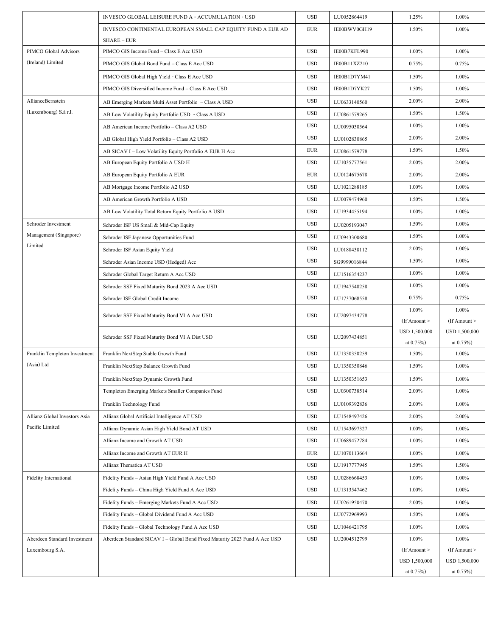|                               | INVESCO GLOBAL LEISURE FUND A - ACCUMULATION - USD                         | <b>USD</b>   | LU0052864419 | 1.25%                       | 1.00%                       |
|-------------------------------|----------------------------------------------------------------------------|--------------|--------------|-----------------------------|-----------------------------|
|                               | INVESCO CONTINENTAL EUROPEAN SMALL CAP EQUITY FUND A EUR AD                | <b>EUR</b>   | IE00BWV0GH19 | 1.50%                       | 1.00%                       |
|                               | <b>SHARE – EUR</b>                                                         |              |              |                             |                             |
| PIMCO Global Advisors         | PIMCO GIS Income Fund - Class E Acc USD                                    | <b>USD</b>   | IE00B7KFL990 | 1.00%                       | 1.00%                       |
| (Ireland) Limited             | PIMCO GIS Global Bond Fund - Class E Acc USD                               | <b>USD</b>   | IE00B11XZ210 | 0.75%                       | 0.75%                       |
|                               | PIMCO GIS Global High Yield - Class E Acc USD                              | <b>USD</b>   | IE00B1D7YM41 | 1.50%                       | 1.00%                       |
|                               | PIMCO GIS Diversified Income Fund - Class E Acc USD                        | <b>USD</b>   | IE00B1D7YK27 | 1.50%                       | 1.00%                       |
| AllianceBernstein             | AB Emerging Markets Multi Asset Portfolio - Class A USD                    | <b>USD</b>   | LU0633140560 | 2.00%                       | 2.00%                       |
| (Luxembourg) S.à r.l.         | AB Low Volatility Equity Portfolio USD - Class A USD                       | <b>USD</b>   | LU0861579265 | 1.50%                       | 1.50%                       |
|                               | AB American Income Portfolio - Class A2 USD                                | <b>USD</b>   | LU0095030564 | 1.00%                       | 1.00%                       |
|                               | AB Global High Yield Portfolio - Class A2 USD                              | <b>USD</b>   | LU0102830865 | 2.00%                       | 2.00%                       |
|                               | AB SICAV I - Low Volatility Equity Portfolio A EUR H Acc                   | <b>EUR</b>   | LU0861579778 | 1.50%                       | 1.50%                       |
|                               | AB European Equity Portfolio A USD H                                       | <b>USD</b>   | LU1035777561 | 2.00%                       | 2.00%                       |
|                               | AB European Equity Portfolio A EUR                                         | <b>EUR</b>   | LU0124675678 | 2.00%                       | 2.00%                       |
|                               | AB Mortgage Income Portfolio A2 USD                                        | <b>USD</b>   | LU1021288185 | 1.00%                       | 1.00%                       |
|                               | AB American Growth Portfolio A USD                                         | <b>USD</b>   | LU0079474960 | 1.50%                       | 1.50%                       |
|                               | AB Low Volatility Total Return Equity Portfolio A USD                      | <b>USD</b>   | LU1934455194 | 1.00%                       | 1.00%                       |
| Schroder Investment           | Schroder ISF US Small & Mid-Cap Equity                                     | <b>USD</b>   | LU0205193047 | 1.50%                       | 1.00%                       |
| Management (Singapore)        | Schroder ISF Japanese Opportunities Fund                                   | <b>USD</b>   | LU0943300680 | 1.50%                       | 1.00%                       |
| Limited                       | Schroder ISF Asian Equity Yield                                            | <b>USD</b>   | LU0188438112 | 2.00%                       | 1.00%                       |
|                               | Schroder Asian Income USD (Hedged) Acc                                     | <b>USD</b>   | SG9999016844 | 1.50%                       | 1.00%                       |
|                               | Schroder Global Target Return A Acc USD                                    | <b>USD</b>   | LU1516354237 | 1.00%                       | 1.00%                       |
|                               | Schroder SSF Fixed Maturity Bond 2023 A Acc USD                            | <b>USD</b>   | LU1947548258 | 1.00%                       | 1.00%                       |
|                               | Schroder ISF Global Credit Income                                          | <b>USD</b>   | LU1737068558 | 0.75%                       | 0.75%                       |
|                               | Schroder SSF Fixed Maturity Bond VI A Acc USD                              | <b>USD</b>   | LU2097434778 | 1.00%                       | 1.00%                       |
|                               |                                                                            |              |              | $($ If Amount $>$           | $($ If Amount $>$           |
|                               | Schroder SSF Fixed Maturity Bond VI A Dist USD                             | <b>USD</b>   | LU2097434851 | USD 1,500,000<br>at $0.75%$ | USD 1,500,000<br>at $0.75%$ |
| Franklin Templeton Investment | Franklin NextStep Stable Growth Fund                                       | <b>USD</b>   | LU1350350259 | 1.50%                       | 1.00%                       |
| (Asia) Ltd                    | Franklin NextStep Balance Growth Fund                                      | <b>USD</b>   | LU1350350846 | 1.50%                       | 1.00%                       |
|                               | Franklin NextStep Dynamic Growth Fund                                      | $_{\rm USD}$ | LU1350351653 | 1.50%                       | 1.00%                       |
|                               | Templeton Emerging Markets Smaller Companies Fund                          | <b>USD</b>   | LU0300738514 | 2.00%                       | 1.00%                       |
|                               | Franklin Technology Fund                                                   | <b>USD</b>   | LU0109392836 | 2.00%                       | 1.00%                       |
| Allianz Global Investors Asia | Allianz Global Artificial Intelligence AT USD                              | <b>USD</b>   | LU1548497426 | 2.00%                       | 2.00%                       |
| Pacific Limited               | Allianz Dynamic Asian High Yield Bond AT USD                               | <b>USD</b>   | LU1543697327 | 1.00%                       | 1.00%                       |
|                               | Allianz Income and Growth AT USD                                           | <b>USD</b>   | LU0689472784 | 1.00%                       | 1.00%                       |
|                               | Allianz Income and Growth AT EUR H                                         | <b>EUR</b>   | LU1070113664 | 1.00%                       | 1.00%                       |
|                               | Allianz Thematica AT USD                                                   | <b>USD</b>   | LU1917777945 | 1.50%                       | 1.50%                       |
| <b>Fidelity International</b> | Fidelity Funds - Asian High Yield Fund A Acc USD                           | <b>USD</b>   | LU0286668453 | 1.00%                       | 1.00%                       |
|                               | Fidelity Funds - China High Yield Fund A Acc USD                           | <b>USD</b>   | LU1313547462 | 1.00%                       | 1.00%                       |
|                               | Fidelity Funds - Emerging Markets Fund A Acc USD                           | <b>USD</b>   | LU0261950470 | 2.00%                       | 1.00%                       |
|                               | Fidelity Funds - Global Dividend Fund A Acc USD                            | <b>USD</b>   | LU0772969993 | 1.50%                       | 1.00%                       |
|                               | Fidelity Funds - Global Technology Fund A Acc USD                          | <b>USD</b>   | LU1046421795 | 1.00%                       | 1.00%                       |
| Aberdeen Standard Investment  | Aberdeen Standard SICAV I - Global Bond Fixed Maturity 2023 Fund A Acc USD | <b>USD</b>   | LU2004512799 | 1.00%                       | $1.00\%$                    |
| Luxembourg S.A.               |                                                                            |              |              | $($ If Amount $>$           | $($ If Amount $>$           |
|                               |                                                                            |              |              | USD 1,500,000               | USD 1,500,000               |
|                               |                                                                            |              |              | at $0.75%$                  | at $0.75%$                  |